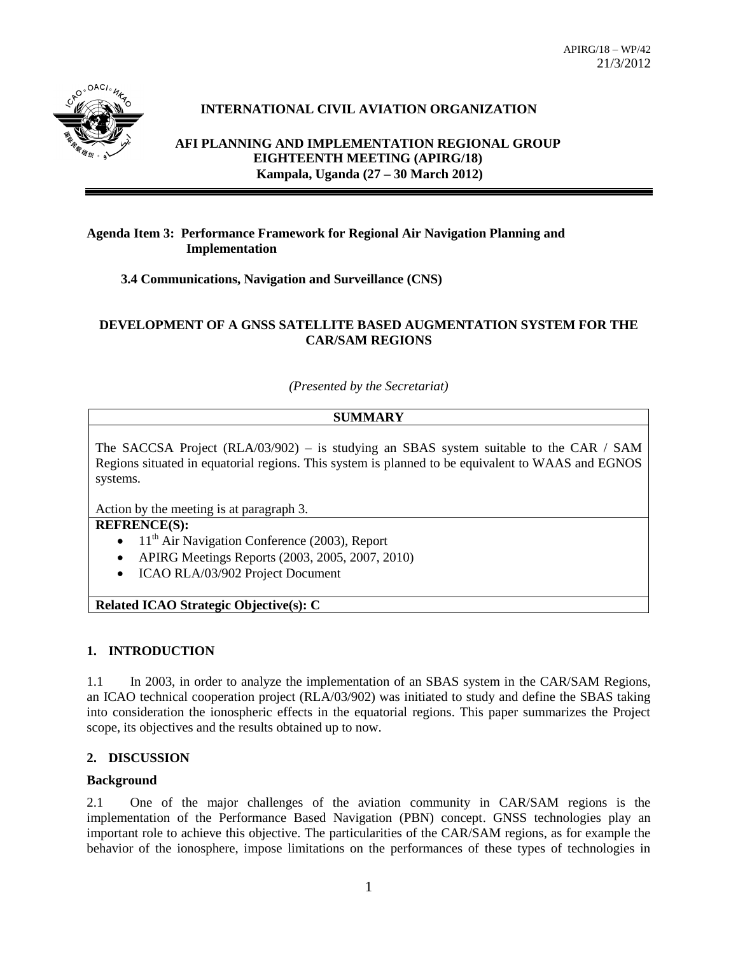

# **INTERNATIONAL CIVIL AVIATION ORGANIZATION**

**AFI PLANNING AND IMPLEMENTATION REGIONAL GROUP EIGHTEENTH MEETING (APIRG/18) Kampala, Uganda (27 – 30 March 2012)**

### **Agenda Item 3: Performance Framework for Regional Air Navigation Planning and Implementation**

**3.4 Communications, Navigation and Surveillance (CNS)**

## **DEVELOPMENT OF A GNSS SATELLITE BASED AUGMENTATION SYSTEM FOR THE CAR/SAM REGIONS**

*(Presented by the Secretariat)*

## **SUMMARY**

The SACCSA Project (RLA/03/902) – is studying an SBAS system suitable to the CAR / SAM Regions situated in equatorial regions. This system is planned to be equivalent to WAAS and EGNOS systems.

Action by the meeting is at paragraph 3.

# **REFRENCE(S):**

- $11<sup>th</sup>$  Air Navigation Conference (2003), Report
- APIRG Meetings Reports (2003, 2005, 2007, 2010)
- ICAO RLA/03/902 Project Document

**Related ICAO Strategic Objective(s): C** 

#### **1. INTRODUCTION**

1.1 In 2003, in order to analyze the implementation of an SBAS system in the CAR/SAM Regions, an ICAO technical cooperation project (RLA/03/902) was initiated to study and define the SBAS taking into consideration the ionospheric effects in the equatorial regions. This paper summarizes the Project scope, its objectives and the results obtained up to now.

#### **2. DISCUSSION**

#### **Background**

2.1 One of the major challenges of the aviation community in CAR/SAM regions is the implementation of the Performance Based Navigation (PBN) concept. GNSS technologies play an important role to achieve this objective. The particularities of the CAR/SAM regions, as for example the behavior of the ionosphere, impose limitations on the performances of these types of technologies in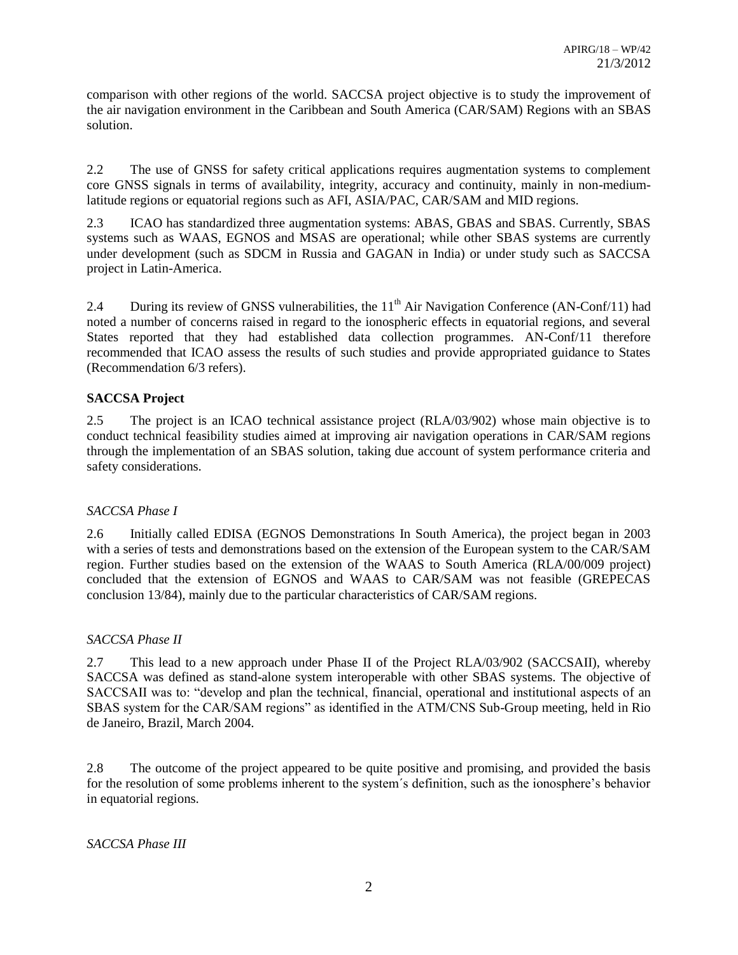comparison with other regions of the world. SACCSA project objective is to study the improvement of the air navigation environment in the Caribbean and South America (CAR/SAM) Regions with an SBAS solution.

2.2 The use of GNSS for safety critical applications requires augmentation systems to complement core GNSS signals in terms of availability, integrity, accuracy and continuity, mainly in non-mediumlatitude regions or equatorial regions such as AFI, ASIA/PAC, CAR/SAM and MID regions.

2.3 ICAO has standardized three augmentation systems: ABAS, GBAS and SBAS. Currently, SBAS systems such as WAAS, EGNOS and MSAS are operational; while other SBAS systems are currently under development (such as SDCM in Russia and GAGAN in India) or under study such as SACCSA project in Latin-America.

2.4 During its review of GNSS vulnerabilities, the  $11<sup>th</sup>$  Air Navigation Conference (AN-Conf/11) had noted a number of concerns raised in regard to the ionospheric effects in equatorial regions, and several States reported that they had established data collection programmes. AN-Conf/11 therefore recommended that ICAO assess the results of such studies and provide appropriated guidance to States (Recommendation 6/3 refers).

# **SACCSA Project**

2.5 The project is an ICAO technical assistance project (RLA/03/902) whose main objective is to conduct technical feasibility studies aimed at improving air navigation operations in CAR/SAM regions through the implementation of an SBAS solution, taking due account of system performance criteria and safety considerations.

# *SACCSA Phase I*

2.6 Initially called EDISA (EGNOS Demonstrations In South America), the project began in 2003 with a series of tests and demonstrations based on the extension of the European system to the CAR/SAM region. Further studies based on the extension of the WAAS to South America (RLA/00/009 project) concluded that the extension of EGNOS and WAAS to CAR/SAM was not feasible (GREPECAS conclusion 13/84), mainly due to the particular characteristics of CAR/SAM regions.

# *SACCSA Phase II*

2.7 This lead to a new approach under Phase II of the Project RLA/03/902 (SACCSAII), whereby SACCSA was defined as stand-alone system interoperable with other SBAS systems. The objective of SACCSAII was to: "develop and plan the technical, financial, operational and institutional aspects of an SBAS system for the CAR/SAM regions" as identified in the ATM/CNS Sub-Group meeting, held in Rio de Janeiro, Brazil, March 2004.

2.8 The outcome of the project appeared to be quite positive and promising, and provided the basis for the resolution of some problems inherent to the system´s definition, such as the ionosphere's behavior in equatorial regions.

*SACCSA Phase III*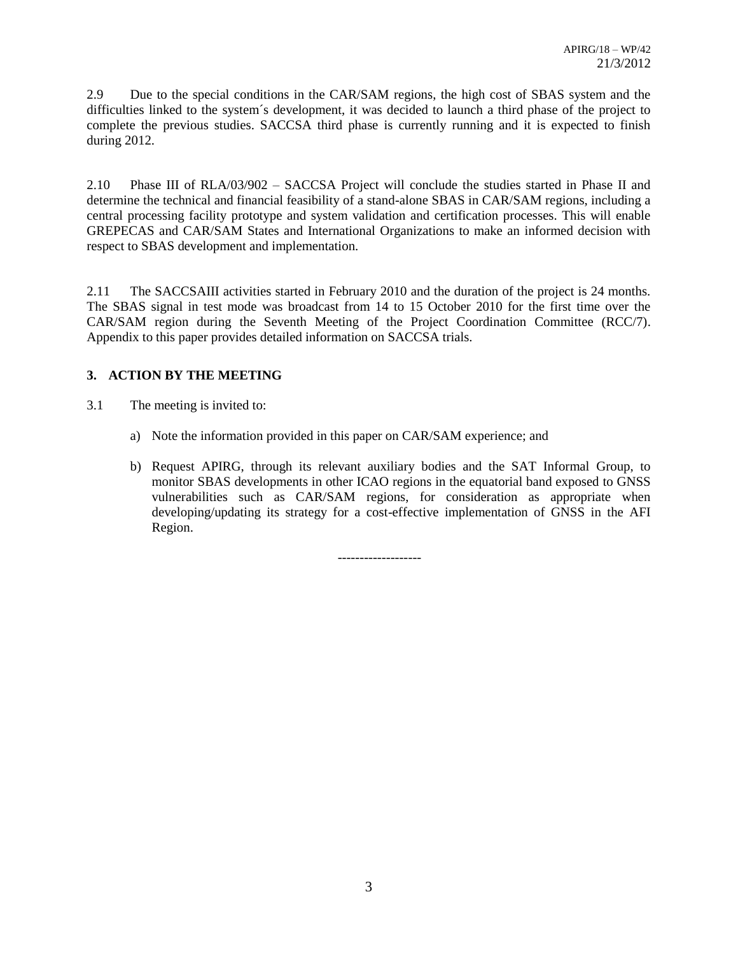2.9 Due to the special conditions in the CAR/SAM regions, the high cost of SBAS system and the difficulties linked to the system´s development, it was decided to launch a third phase of the project to complete the previous studies. SACCSA third phase is currently running and it is expected to finish during 2012.

2.10 Phase III of RLA/03/902 – SACCSA Project will conclude the studies started in Phase II and determine the technical and financial feasibility of a stand-alone SBAS in CAR/SAM regions, including a central processing facility prototype and system validation and certification processes. This will enable GREPECAS and CAR/SAM States and International Organizations to make an informed decision with respect to SBAS development and implementation.

2.11 The SACCSAIII activities started in February 2010 and the duration of the project is 24 months. The SBAS signal in test mode was broadcast from 14 to 15 October 2010 for the first time over the CAR/SAM region during the Seventh Meeting of the Project Coordination Committee (RCC/7). Appendix to this paper provides detailed information on SACCSA trials.

# **3. ACTION BY THE MEETING**

- 3.1 The meeting is invited to:
	- a) Note the information provided in this paper on CAR/SAM experience; and
	- b) Request APIRG, through its relevant auxiliary bodies and the SAT Informal Group, to monitor SBAS developments in other ICAO regions in the equatorial band exposed to GNSS vulnerabilities such as CAR/SAM regions, for consideration as appropriate when developing/updating its strategy for a cost-effective implementation of GNSS in the AFI Region.

-------------------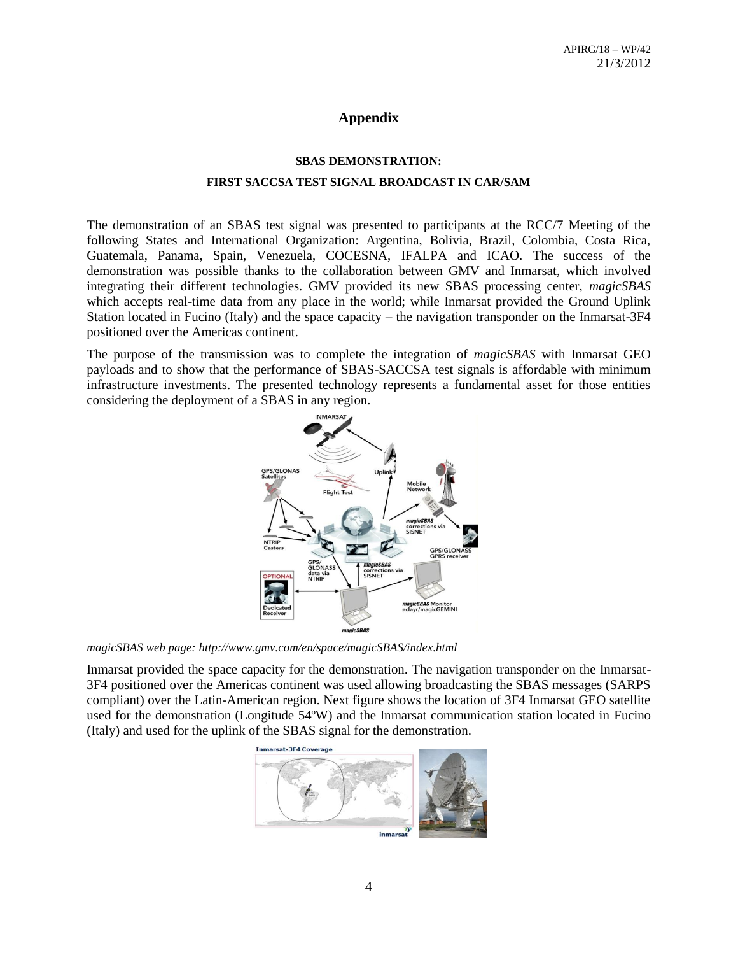# **Appendix**

#### **SBAS DEMONSTRATION:**

#### **FIRST SACCSA TEST SIGNAL BROADCAST IN CAR/SAM**

The demonstration of an SBAS test signal was presented to participants at the RCC/7 Meeting of the following States and International Organization: Argentina, Bolivia, Brazil, Colombia, Costa Rica, Guatemala, Panama, Spain, Venezuela, COCESNA, IFALPA and ICAO. The success of the demonstration was possible thanks to the collaboration between GMV and Inmarsat, which involved integrating their different technologies. GMV provided its new SBAS processing center, *magicSBAS* which accepts real-time data from any place in the world; while Inmarsat provided the Ground Uplink Station located in Fucino (Italy) and the space capacity – the navigation transponder on the Inmarsat-3F4 positioned over the Americas continent.

The purpose of the transmission was to complete the integration of *magicSBAS* with Inmarsat GEO payloads and to show that the performance of SBAS-SACCSA test signals is affordable with minimum infrastructure investments. The presented technology represents a fundamental asset for those entities considering the deployment of a SBAS in any region.



*magicSBAS web page: http://www.gmv.com/en/space/magicSBAS/index.html*

Inmarsat provided the space capacity for the demonstration. The navigation transponder on the Inmarsat-3F4 positioned over the Americas continent was used allowing broadcasting the SBAS messages (SARPS compliant) over the Latin-American region. Next figure shows the location of 3F4 Inmarsat GEO satellite used for the demonstration (Longitude 54ºW) and the Inmarsat communication station located in Fucino (Italy) and used for the uplink of the SBAS signal for the demonstration.

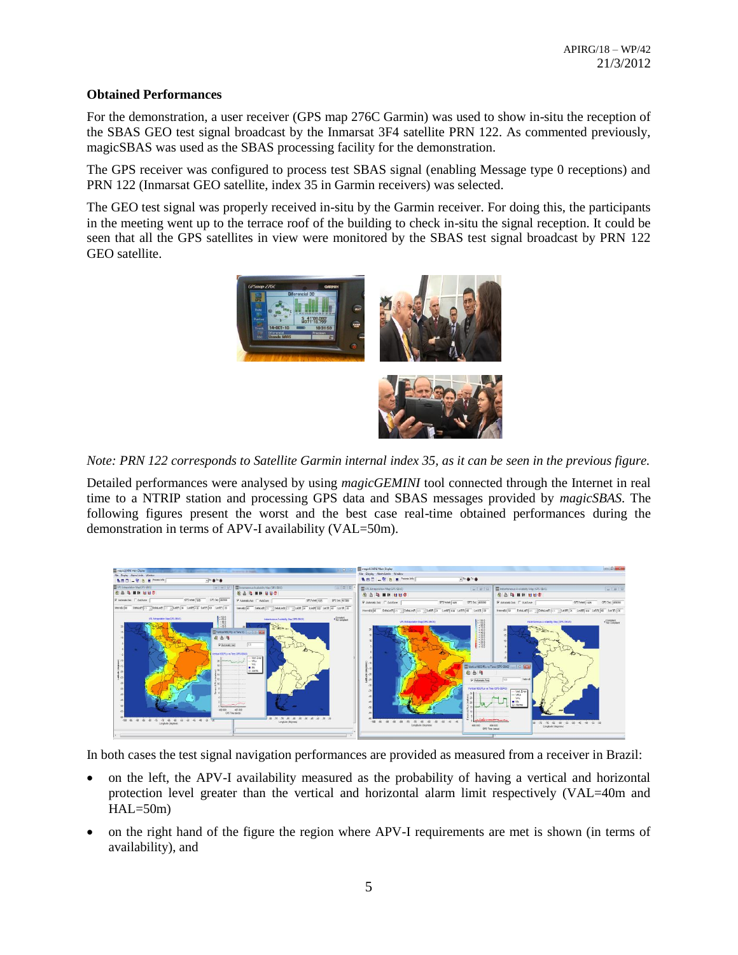### **Obtained Performances**

For the demonstration, a user receiver (GPS map 276C Garmin) was used to show in-situ the reception of the SBAS GEO test signal broadcast by the Inmarsat 3F4 satellite PRN 122. As commented previously, magicSBAS was used as the SBAS processing facility for the demonstration.

The GPS receiver was configured to process test SBAS signal (enabling Message type 0 receptions) and PRN 122 (Inmarsat GEO satellite, index 35 in Garmin receivers) was selected.

The GEO test signal was properly received in-situ by the Garmin receiver. For doing this, the participants in the meeting went up to the terrace roof of the building to check in-situ the signal reception. It could be seen that all the GPS satellites in view were monitored by the SBAS test signal broadcast by PRN 122 GEO satellite.



*Note: PRN 122 corresponds to Satellite Garmin internal index 35, as it can be seen in the previous figure.*

Detailed performances were analysed by using *magicGEMINI* tool connected through the Internet in real time to a NTRIP station and processing GPS data and SBAS messages provided by *magicSBAS*. The following figures present the worst and the best case real-time obtained performances during the demonstration in terms of APV-I availability (VAL=50m).



In both cases the test signal navigation performances are provided as measured from a receiver in Brazil:

- on the left, the APV-I availability measured as the probability of having a vertical and horizontal protection level greater than the vertical and horizontal alarm limit respectively (VAL=40m and  $HAL=50m)$
- on the right hand of the figure the region where APV-I requirements are met is shown (in terms of availability), and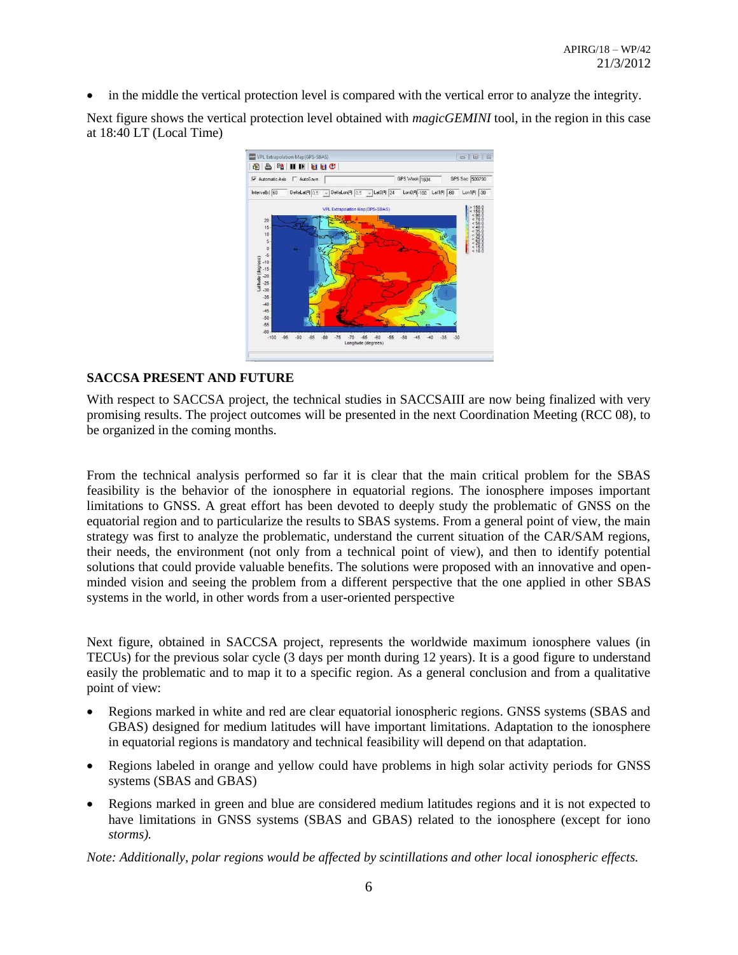in the middle the vertical protection level is compared with the vertical error to analyze the integrity.

Next figure shows the vertical protection level obtained with *magicGEMINI* tool, in the region in this case at 18:40 LT (Local Time)



# **SACCSA PRESENT AND FUTURE**

With respect to SACCSA project, the technical studies in SACCSAIII are now being finalized with very promising results. The project outcomes will be presented in the next Coordination Meeting (RCC 08), to be organized in the coming months.

From the technical analysis performed so far it is clear that the main critical problem for the SBAS feasibility is the behavior of the ionosphere in equatorial regions. The ionosphere imposes important limitations to GNSS. A great effort has been devoted to deeply study the problematic of GNSS on the equatorial region and to particularize the results to SBAS systems. From a general point of view, the main strategy was first to analyze the problematic, understand the current situation of the CAR/SAM regions, their needs, the environment (not only from a technical point of view), and then to identify potential solutions that could provide valuable benefits. The solutions were proposed with an innovative and openminded vision and seeing the problem from a different perspective that the one applied in other SBAS systems in the world, in other words from a user-oriented perspective

Next figure, obtained in SACCSA project, represents the worldwide maximum ionosphere values (in TECUs) for the previous solar cycle (3 days per month during 12 years). It is a good figure to understand easily the problematic and to map it to a specific region. As a general conclusion and from a qualitative point of view:

- Regions marked in white and red are clear equatorial ionospheric regions. GNSS systems (SBAS and GBAS) designed for medium latitudes will have important limitations. Adaptation to the ionosphere in equatorial regions is mandatory and technical feasibility will depend on that adaptation.
- Regions labeled in orange and yellow could have problems in high solar activity periods for GNSS systems (SBAS and GBAS)
- Regions marked in green and blue are considered medium latitudes regions and it is not expected to have limitations in GNSS systems (SBAS and GBAS) related to the ionosphere (except for iono *storms).*

*Note: Additionally, polar regions would be affected by scintillations and other local ionospheric effects.*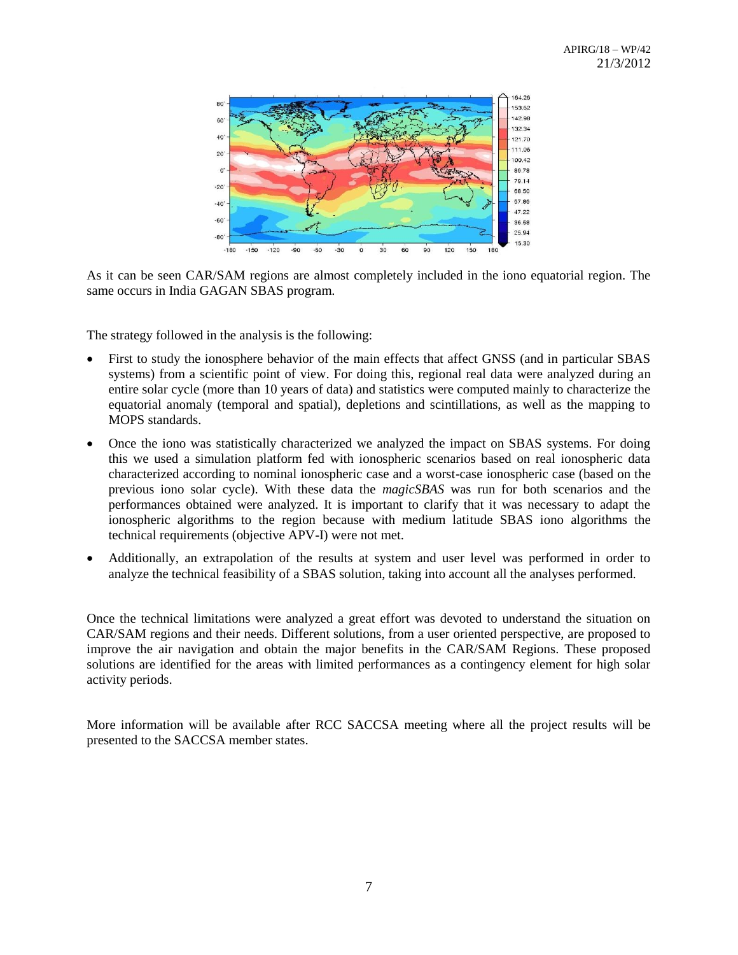

As it can be seen CAR/SAM regions are almost completely included in the iono equatorial region. The same occurs in India GAGAN SBAS program.

The strategy followed in the analysis is the following:

- First to study the ionosphere behavior of the main effects that affect GNSS (and in particular SBAS systems) from a scientific point of view. For doing this, regional real data were analyzed during an entire solar cycle (more than 10 years of data) and statistics were computed mainly to characterize the equatorial anomaly (temporal and spatial), depletions and scintillations, as well as the mapping to MOPS standards.
- Once the iono was statistically characterized we analyzed the impact on SBAS systems. For doing this we used a simulation platform fed with ionospheric scenarios based on real ionospheric data characterized according to nominal ionospheric case and a worst-case ionospheric case (based on the previous iono solar cycle). With these data the *magicSBAS* was run for both scenarios and the performances obtained were analyzed. It is important to clarify that it was necessary to adapt the ionospheric algorithms to the region because with medium latitude SBAS iono algorithms the technical requirements (objective APV-I) were not met.
- Additionally, an extrapolation of the results at system and user level was performed in order to analyze the technical feasibility of a SBAS solution, taking into account all the analyses performed.

Once the technical limitations were analyzed a great effort was devoted to understand the situation on CAR/SAM regions and their needs. Different solutions, from a user oriented perspective, are proposed to improve the air navigation and obtain the major benefits in the CAR/SAM Regions. These proposed solutions are identified for the areas with limited performances as a contingency element for high solar activity periods.

More information will be available after RCC SACCSA meeting where all the project results will be presented to the SACCSA member states.